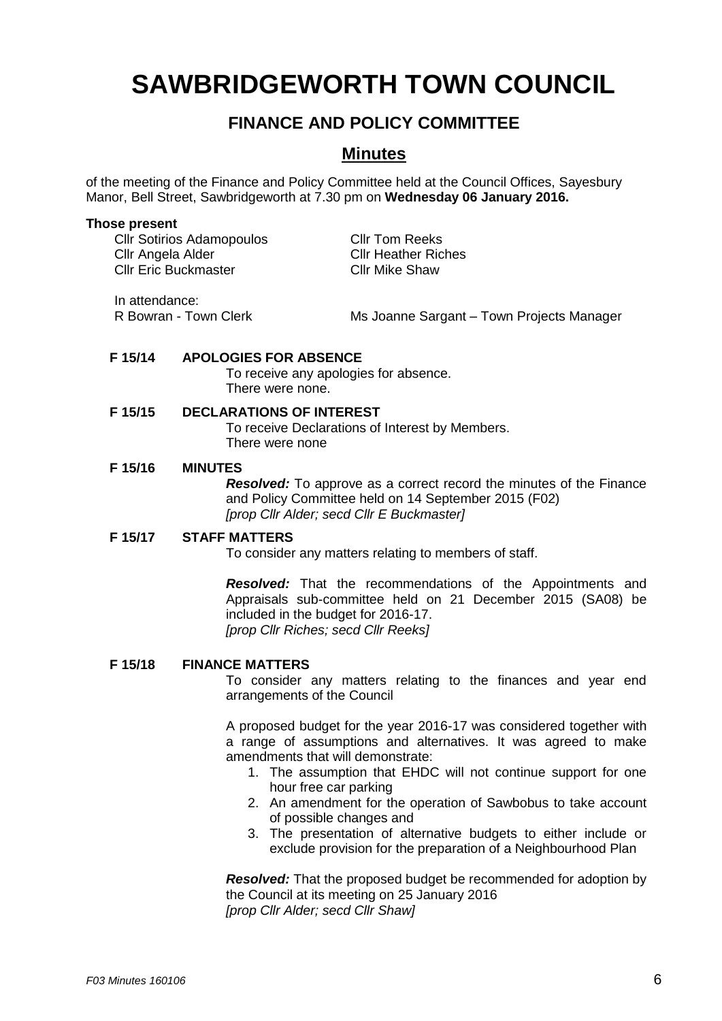# **SAWBRIDGEWORTH TOWN COUNCIL**

## **FINANCE AND POLICY COMMITTEE**

### **Minutes**

of the meeting of the Finance and Policy Committee held at the Council Offices, Sayesbury Manor, Bell Street, Sawbridgeworth at 7.30 pm on **Wednesday 06 January 2016.**

#### **Those present**

Cllr Sotirios Adamopoulos<br>
Cllr Angela Alder
Cllr Heather Ric Cllr Eric Buckmaster Cllr Mike Shaw

**Cllr Heather Riches** 

In attendance:

R Bowran - Town Clerk Ms Joanne Sargant – Town Projects Manager

#### **F 15/14 APOLOGIES FOR ABSENCE**

To receive any apologies for absence. There were none.

#### **F 15/15 DECLARATIONS OF INTEREST**

To receive Declarations of Interest by Members. There were none

#### **F 15/16 MINUTES**

*Resolved:* To approve as a correct record the minutes of the Finance and Policy Committee held on 14 September 2015 (F02) *[prop Cllr Alder; secd Cllr E Buckmaster]*

#### **F 15/17 STAFF MATTERS**

To consider any matters relating to members of staff.

*Resolved:* That the recommendations of the Appointments and Appraisals sub-committee held on 21 December 2015 (SA08) be included in the budget for 2016-17. *[prop Cllr Riches; secd Cllr Reeks]*

#### **F 15/18 FINANCE MATTERS**

To consider any matters relating to the finances and year end arrangements of the Council

A proposed budget for the year 2016-17 was considered together with a range of assumptions and alternatives. It was agreed to make amendments that will demonstrate:

- 1. The assumption that EHDC will not continue support for one hour free car parking
- 2. An amendment for the operation of Sawbobus to take account of possible changes and
- 3. The presentation of alternative budgets to either include or exclude provision for the preparation of a Neighbourhood Plan

*Resolved:* That the proposed budget be recommended for adoption by the Council at its meeting on 25 January 2016 *[prop Cllr Alder; secd Cllr Shaw]*